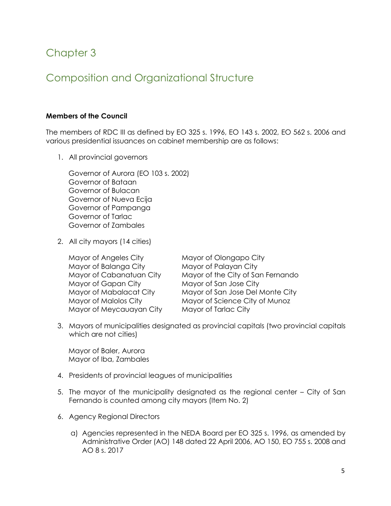# Chapter 3

# Composition and Organizational Structure

# **Members of the Council**

The members of RDC III as defined by EO 325 s. 1996, EO 143 s. 2002, EO 562 s. 2006 and various presidential issuances on cabinet membership are as follows:

1. All provincial governors

Governor of Aurora (EO 103 s. 2002) Governor of Bataan Governor of Bulacan Governor of Nueva Ecija Governor of Pampanga Governor of Tarlac Governor of Zambales

2. All city mayors (14 cities)

Mayor of Angeles City Mayor of Olongapo City Mayor of Balanga City Mayor of Palayan City Mayor of Gapan City Mayor of San Jose City Mayor of Meycauayan City Mayor of Tarlac City

Mayor of Cabanatuan City Mayor of the City of San Fernando Mayor of Mabalacat City Mayor of San Jose Del Monte City Mayor of Malolos City Mayor of Science City of Munoz

3. Mayors of municipalities designated as provincial capitals (two provincial capitals which are not cities)

Mayor of Baler, Aurora Mayor of Iba, Zambales

- 4. Presidents of provincial leagues of municipalities
- 5. The mayor of the municipality designated as the regional center City of San Fernando is counted among city mayors (Item No. 2)
- 6. Agency Regional Directors
	- a) Agencies represented in the NEDA Board per EO 325 s. 1996, as amended by Administrative Order (AO) 148 dated 22 April 2006, AO 150, EO 755 s. 2008 and AO 8 s. 2017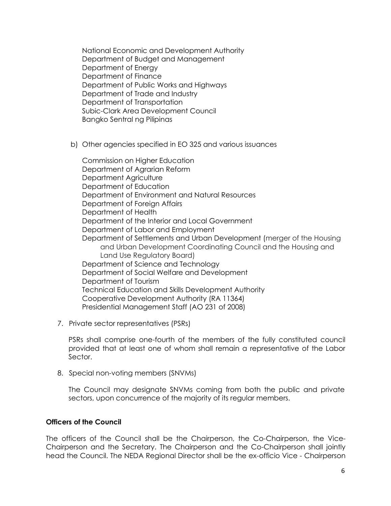National Economic and Development Authority Department of Budget and Management Department of Energy Department of Finance Department of Public Works and Highways Department of Trade and Industry Department of Transportation Subic-Clark Area Development Council Bangko Sentral ng Pilipinas

b) Other agencies specified in EO 325 and various issuances

Commission on Higher Education Department of Agrarian Reform Department Agriculture Department of Education Department of Environment and Natural Resources Department of Foreign Affairs Department of Health Department of the Interior and Local Government Department of Labor and Employment Department of Settlements and Urban Development (merger of the Housing and Urban Development Coordinating Council and the Housing and Land Use Regulatory Board) Department of Science and Technology Department of Social Welfare and Development Department of Tourism Technical Education and Skills Development Authority Cooperative Development Authority (RA 11364) Presidential Management Staff (AO 231 of 2008)

7. Private sector representatives (PSRs)

PSRs shall comprise one-fourth of the members of the fully constituted council provided that at least one of whom shall remain a representative of the Labor Sector.

8. Special non-voting members (SNVMs)

The Council may designate SNVMs coming from both the public and private sectors, upon concurrence of the majority of its regular members.

#### **Officers of the Council**

The officers of the Council shall be the Chairperson, the Co-Chairperson, the Vice-Chairperson and the Secretary. The Chairperson and the Co-Chairperson shall jointly head the Council. The NEDA Regional Director shall be the ex-officio Vice - Chairperson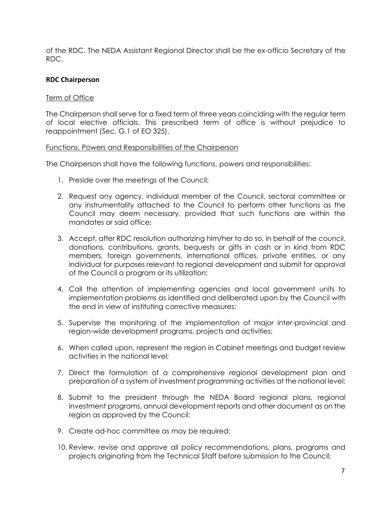of the RDC. The NEDA Assistant Regional Director shall be the ex-officio Secretary of the RDC.

# **RDC Chairperson**

### Term of Office

The Chairperson shall serve for a fixed term of three years coinciding with the regular term of local elective officials. This prescribed term of office is without prejudice to reappointment (Sec. G.1 of EO 325).

#### Functions, Powers and Responsibilities of the Chairperson

The Chairperson shall have the following functions, powers and responsibilities:

- 1. Preside over the meetings of the Council;
- 2. Request any agency, individual member of the Council, sectoral committee or any instrumentality attached to the Council to perform other functions as the Council may deem necessary, provided that such functions are within the mandates or said office;
- 3. Accept, after RDC resolution authorizing him/her to do so, in behalf of the council, donations, contributions, grants, bequests or gifts in cash or in kind from RDC members, foreign governments, international offices, private entities, or any individual for purposes relevant to regional development and submit for approval of the Council a program or its utilization;
- 4. Call the attention of implementing agencies and local government units to implementation problems as identified and deliberated upon by the Council with the end in view of instituting corrective measures;
- 5. Supervise the monitoring of the implementation of major inter-provincial and region-wide development programs, projects and activities;
- 6. When called upon, represent the region in Cabinet meetings and budget review activities in the national level;
- 7. Direct the formulation of a comprehensive regional development plan and preparation of a system of investment programming activities at the national level;
- 8. Submit to the president through the NEDA Board regional plans, regional investment programs, annual development reports and other document as on the region as approved by the Council;
- 9. Create ad-hoc committee as may be required;
- 10. Review, revise and approve all policy recommendations, plans, programs and projects originating from the Technical Staff before submission to the Council;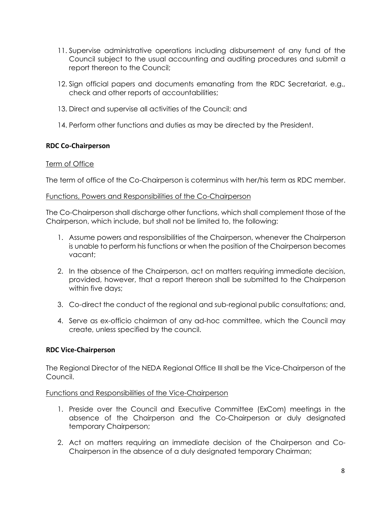- 11. Supervise administrative operations including disbursement of any fund of the Council subject to the usual accounting and auditing procedures and submit a report thereon to the Council;
- 12. Sign official papers and documents emanating from the RDC Secretariat, e.g., check and other reports of accountabilities;
- 13. Direct and supervise all activities of the Council; and
- 14. Perform other functions and duties as may be directed by the President.

# **RDC Co-Chairperson**

# Term of Office

The term of office of the Co-Chairperson is coterminus with her/his term as RDC member.

### Functions, Powers and Responsibilities of the Co-Chairperson

The Co-Chairperson shall discharge other functions, which shall complement those of the Chairperson, which include, but shall not be limited to, the following:

- 1. Assume powers and responsibilities of the Chairperson, whenever the Chairperson is unable to perform his functions or when the position of the Chairperson becomes vacant;
- 2. In the absence of the Chairperson, act on matters requiring immediate decision, provided, however, that a report thereon shall be submitted to the Chairperson within five days;
- 3. Co-direct the conduct of the regional and sub-regional public consultations; and,
- 4. Serve as ex-officio chairman of any ad-hoc committee, which the Council may create, unless specified by the council.

# **RDC Vice-Chairperson**

The Regional Director of the NEDA Regional Office III shall be the Vice-Chairperson of the Council.

### Functions and Responsibilities of the Vice-Chairperson

- 1. Preside over the Council and Executive Committee (ExCom) meetings in the absence of the Chairperson and the Co-Chairperson or duly designated temporary Chairperson;
- 2. Act on matters requiring an immediate decision of the Chairperson and Co-Chairperson in the absence of a duly designated temporary Chairman;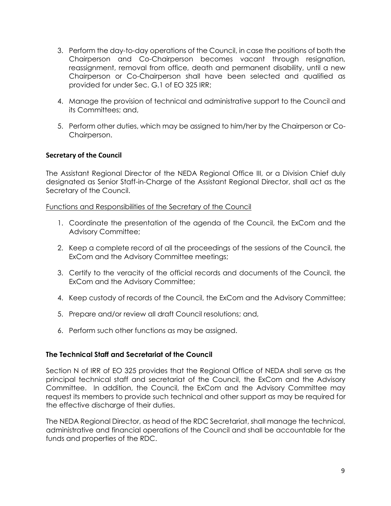- 3. Perform the day-to-day operations of the Council, in case the positions of both the Chairperson and Co-Chairperson becomes vacant through resignation, reassignment, removal from office, death and permanent disability, until a new Chairperson or Co-Chairperson shall have been selected and qualified as provided for under Sec. G.1 of EO 325 IRR;
- 4. Manage the provision of technical and administrative support to the Council and its Committees; and,
- 5. Perform other duties, which may be assigned to him/her by the Chairperson or Co-Chairperson.

# **Secretary of the Council**

The Assistant Regional Director of the NEDA Regional Office III, or a Division Chief duly designated as Senior Staff-in-Charge of the Assistant Regional Director, shall act as the Secretary of the Council.

### Functions and Responsibilities of the Secretary of the Council

- 1. Coordinate the presentation of the agenda of the Council, the ExCom and the Advisory Committee;
- 2. Keep a complete record of all the proceedings of the sessions of the Council, the ExCom and the Advisory Committee meetings;
- 3. Certify to the veracity of the official records and documents of the Council, the ExCom and the Advisory Committee;
- 4. Keep custody of records of the Council, the ExCom and the Advisory Committee;
- 5. Prepare and/or review all draft Council resolutions; and,
- 6. Perform such other functions as may be assigned.

### **The Technical Staff and Secretariat of the Council**

Section N of IRR of EO 325 provides that the Regional Office of NEDA shall serve as the principal technical staff and secretariat of the Council, the ExCom and the Advisory Committee. In addition, the Council, the ExCom and the Advisory Committee may request its members to provide such technical and other support as may be required for the effective discharge of their duties.

The NEDA Regional Director, as head of the RDC Secretariat, shall manage the technical, administrative and financial operations of the Council and shall be accountable for the funds and properties of the RDC.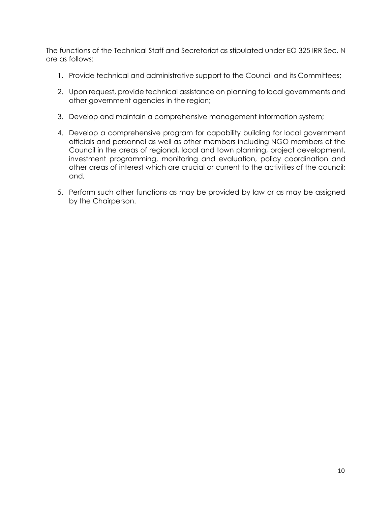The functions of the Technical Staff and Secretariat as stipulated under EO 325 IRR Sec. N are as follows:

- 1. Provide technical and administrative support to the Council and its Committees;
- 2. Upon request, provide technical assistance on planning to local governments and other government agencies in the region;
- 3. Develop and maintain a comprehensive management information system;
- 4. Develop a comprehensive program for capability building for local government officials and personnel as well as other members including NGO members of the Council in the areas of regional, local and town planning, project development, investment programming, monitoring and evaluation, policy coordination and other areas of interest which are crucial or current to the activities of the council; and,
- 5. Perform such other functions as may be provided by law or as may be assigned by the Chairperson.